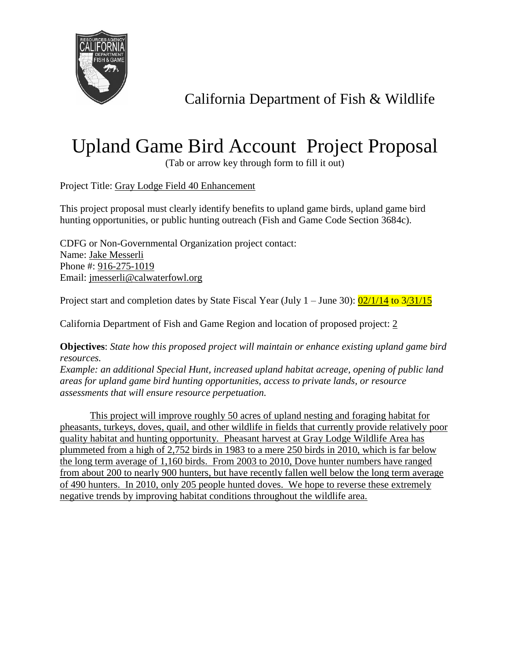

California Department of Fish & Wildlife

## Upland Game Bird Account Project Proposal

(Tab or arrow key through form to fill it out)

Project Title: Gray Lodge Field 40 Enhancement

This project proposal must clearly identify benefits to upland game birds, upland game bird hunting opportunities, or public hunting outreach (Fish and Game Code Section 3684c).

CDFG or Non-Governmental Organization project contact: Name: Jake Messerli Phone #: 916-275-1019 Email: jmesserli@calwaterfowl.org

Project start and completion dates by State Fiscal Year (July  $1 -$  June 30):  $\frac{02}{1/14}$  to  $\frac{3}{31/15}$ 

California Department of Fish and Game Region and location of proposed project: 2

**Objectives**: *State how this proposed project will maintain or enhance existing upland game bird resources.*

*Example: an additional Special Hunt, increased upland habitat acreage, opening of public land areas for upland game bird hunting opportunities, access to private lands, or resource assessments that will ensure resource perpetuation.*

This project will improve roughly 50 acres of upland nesting and foraging habitat for pheasants, turkeys, doves, quail, and other wildlife in fields that currently provide relatively poor quality habitat and hunting opportunity. Pheasant harvest at Gray Lodge Wildlife Area has plummeted from a high of 2,752 birds in 1983 to a mere 250 birds in 2010, which is far below the long term average of 1,160 birds. From 2003 to 2010, Dove hunter numbers have ranged from about 200 to nearly 900 hunters, but have recently fallen well below the long term average of 490 hunters. In 2010, only 205 people hunted doves. We hope to reverse these extremely negative trends by improving habitat conditions throughout the wildlife area.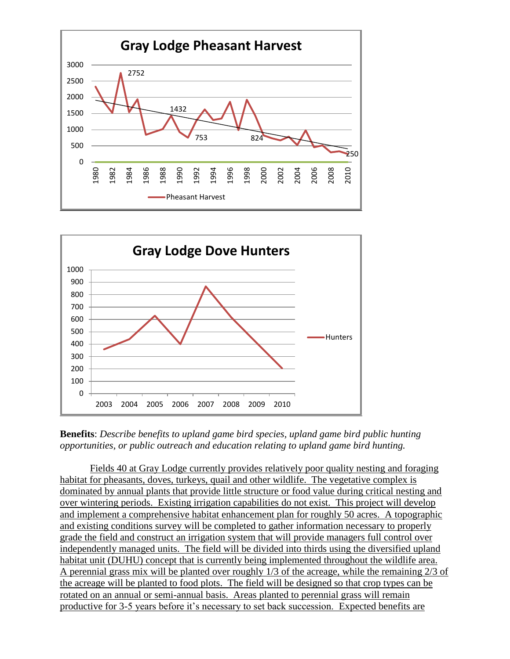



**Benefits**: *Describe benefits to upland game bird species, upland game bird public hunting opportunities, or public outreach and education relating to upland game bird hunting.*

Fields 40 at Gray Lodge currently provides relatively poor quality nesting and foraging habitat for pheasants, doves, turkeys, quail and other wildlife. The vegetative complex is dominated by annual plants that provide little structure or food value during critical nesting and over wintering periods. Existing irrigation capabilities do not exist. This project will develop and implement a comprehensive habitat enhancement plan for roughly 50 acres. A topographic and existing conditions survey will be completed to gather information necessary to properly grade the field and construct an irrigation system that will provide managers full control over independently managed units. The field will be divided into thirds using the diversified upland habitat unit (DUHU) concept that is currently being implemented throughout the wildlife area. A perennial grass mix will be planted over roughly 1/3 of the acreage, while the remaining 2/3 of the acreage will be planted to food plots. The field will be designed so that crop types can be rotated on an annual or semi-annual basis. Areas planted to perennial grass will remain productive for 3-5 years before it's necessary to set back succession. Expected benefits are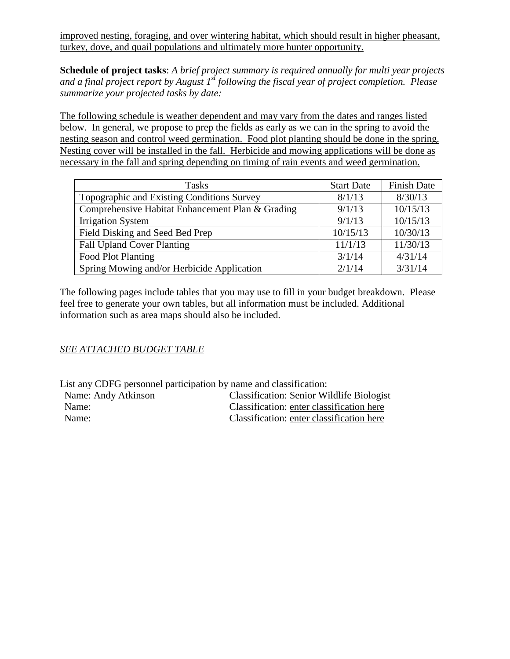improved nesting, foraging, and over wintering habitat, which should result in higher pheasant, turkey, dove, and quail populations and ultimately more hunter opportunity.

**Schedule of project tasks**: *A brief project summary is required annually for multi year projects and a final project report by August 1st following the fiscal year of project completion. Please summarize your projected tasks by date:*

The following schedule is weather dependent and may vary from the dates and ranges listed below. In general, we propose to prep the fields as early as we can in the spring to avoid the nesting season and control weed germination. Food plot planting should be done in the spring. Nesting cover will be installed in the fall. Herbicide and mowing applications will be done as necessary in the fall and spring depending on timing of rain events and weed germination.

| <b>Tasks</b>                                     | <b>Start Date</b> | <b>Finish Date</b> |  |
|--------------------------------------------------|-------------------|--------------------|--|
| Topographic and Existing Conditions Survey       | 8/1/13            | 8/30/13            |  |
| Comprehensive Habitat Enhancement Plan & Grading | 9/1/13            | 10/15/13           |  |
| <b>Irrigation System</b>                         | 9/1/13            | 10/15/13           |  |
| Field Disking and Seed Bed Prep                  | 10/15/13          | 10/30/13           |  |
| <b>Fall Upland Cover Planting</b>                | 11/1/13           | 11/30/13           |  |
| Food Plot Planting                               | 3/1/14            | 4/31/14            |  |
| Spring Mowing and/or Herbicide Application       | 2/1/14            | 3/31/14            |  |

The following pages include tables that you may use to fill in your budget breakdown. Please feel free to generate your own tables, but all information must be included. Additional information such as area maps should also be included.

## *SEE ATTACHED BUDGET TABLE*

List any CDFG personnel participation by name and classification:

| Name: Andy Atkinson | <b>Classification: Senior Wildlife Biologist</b> |
|---------------------|--------------------------------------------------|
| Name:               | Classification: enter classification here        |
| Name:               | Classification: enter classification here        |